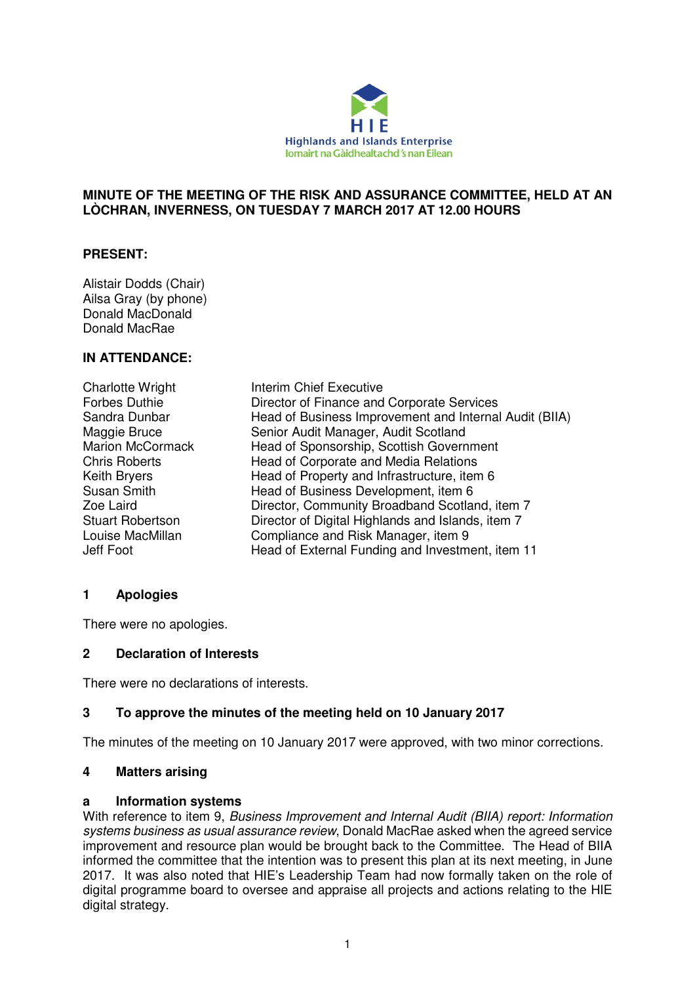

### **MINUTE OF THE MEETING OF THE RISK AND ASSURANCE COMMITTEE, HELD AT AN LÒCHRAN, INVERNESS, ON TUESDAY 7 MARCH 2017 AT 12.00 HOURS**

## **PRESENT:**

Alistair Dodds (Chair) Ailsa Gray (by phone) Donald MacDonald Donald MacRae

### **IN ATTENDANCE:**

Charlotte Wright **Interim Chief Executive** Forbes Duthie Director of Finance and Corporate Services Sandra Dunbar Head of Business Improvement and Internal Audit (BIIA) Maggie Bruce Senior Audit Manager, Audit Scotland Marion McCormack Head of Sponsorship, Scottish Government Chris Roberts Head of Corporate and Media Relations Keith Bryers **Head of Property and Infrastructure**, item 6 Susan Smith Head of Business Development, item 6 Zoe Laird Director, Community Broadband Scotland, item 7 Stuart Robertson **Director of Digital Highlands and Islands, item 7** Louise MacMillan Compliance and Risk Manager, item 9 Jeff Foot Head of External Funding and Investment, item 11

# **1 Apologies**

There were no apologies.

### **2 Declaration of Interests**

There were no declarations of interests.

### **3 To approve the minutes of the meeting held on 10 January 2017**

The minutes of the meeting on 10 January 2017 were approved, with two minor corrections.

### **4 Matters arising**

#### **a Information systems**

With reference to item 9, Business Improvement and Internal Audit (BIIA) report: Information systems business as usual assurance review, Donald MacRae asked when the agreed service improvement and resource plan would be brought back to the Committee. The Head of BIIA informed the committee that the intention was to present this plan at its next meeting, in June 2017. It was also noted that HIE's Leadership Team had now formally taken on the role of digital programme board to oversee and appraise all projects and actions relating to the HIE digital strategy.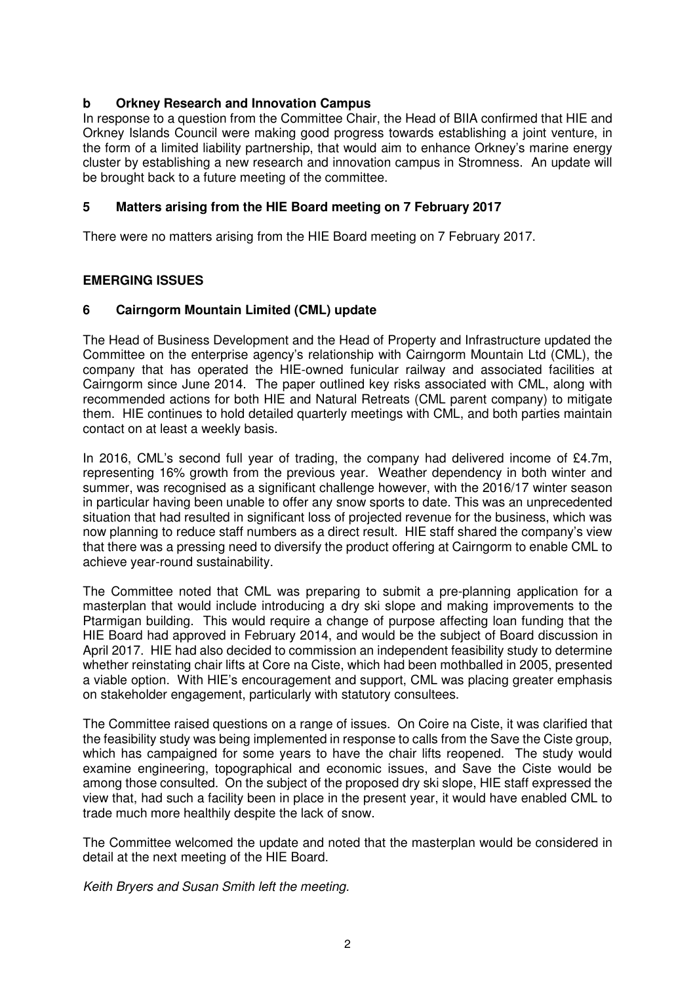### **b Orkney Research and Innovation Campus**

In response to a question from the Committee Chair, the Head of BIIA confirmed that HIE and Orkney Islands Council were making good progress towards establishing a joint venture, in the form of a limited liability partnership, that would aim to enhance Orkney's marine energy cluster by establishing a new research and innovation campus in Stromness. An update will be brought back to a future meeting of the committee.

### **5 Matters arising from the HIE Board meeting on 7 February 2017**

There were no matters arising from the HIE Board meeting on 7 February 2017.

### **EMERGING ISSUES**

### **6 Cairngorm Mountain Limited (CML) update**

The Head of Business Development and the Head of Property and Infrastructure updated the Committee on the enterprise agency's relationship with Cairngorm Mountain Ltd (CML), the company that has operated the HIE-owned funicular railway and associated facilities at Cairngorm since June 2014. The paper outlined key risks associated with CML, along with recommended actions for both HIE and Natural Retreats (CML parent company) to mitigate them. HIE continues to hold detailed quarterly meetings with CML, and both parties maintain contact on at least a weekly basis.

In 2016, CML's second full year of trading, the company had delivered income of £4.7m, representing 16% growth from the previous year. Weather dependency in both winter and summer, was recognised as a significant challenge however, with the 2016/17 winter season in particular having been unable to offer any snow sports to date. This was an unprecedented situation that had resulted in significant loss of projected revenue for the business, which was now planning to reduce staff numbers as a direct result. HIE staff shared the company's view that there was a pressing need to diversify the product offering at Cairngorm to enable CML to achieve year-round sustainability.

The Committee noted that CML was preparing to submit a pre-planning application for a masterplan that would include introducing a dry ski slope and making improvements to the Ptarmigan building. This would require a change of purpose affecting loan funding that the HIE Board had approved in February 2014, and would be the subject of Board discussion in April 2017. HIE had also decided to commission an independent feasibility study to determine whether reinstating chair lifts at Core na Ciste, which had been mothballed in 2005, presented a viable option. With HIE's encouragement and support, CML was placing greater emphasis on stakeholder engagement, particularly with statutory consultees.

The Committee raised questions on a range of issues. On Coire na Ciste, it was clarified that the feasibility study was being implemented in response to calls from the Save the Ciste group, which has campaigned for some years to have the chair lifts reopened. The study would examine engineering, topographical and economic issues, and Save the Ciste would be among those consulted. On the subject of the proposed dry ski slope, HIE staff expressed the view that, had such a facility been in place in the present year, it would have enabled CML to trade much more healthily despite the lack of snow.

The Committee welcomed the update and noted that the masterplan would be considered in detail at the next meeting of the HIE Board.

Keith Bryers and Susan Smith left the meeting.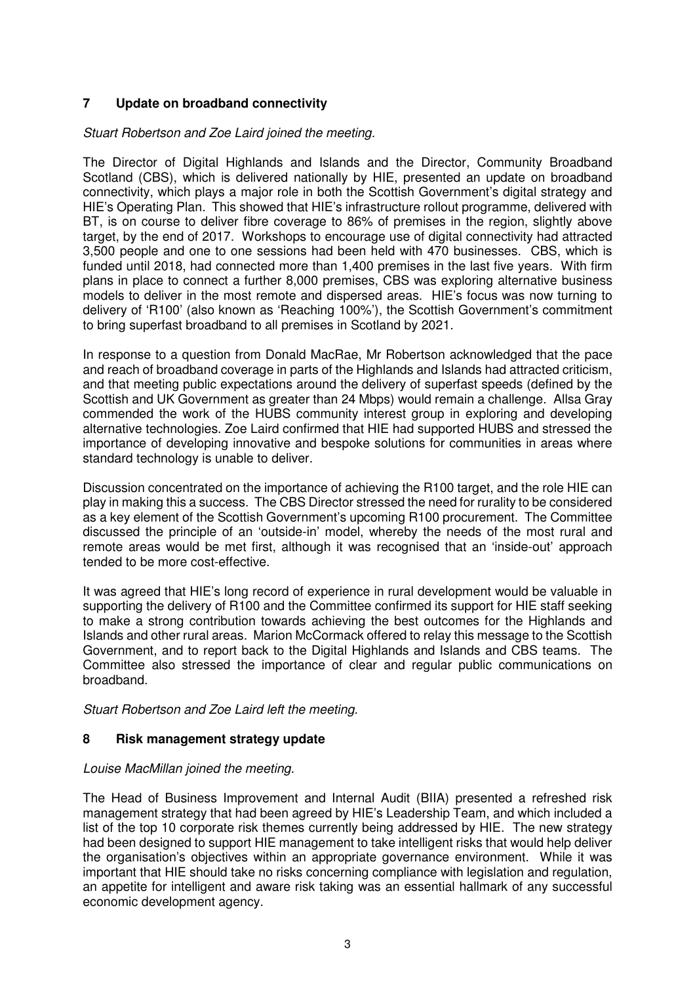# **7 Update on broadband connectivity**

#### Stuart Robertson and Zoe Laird joined the meeting.

The Director of Digital Highlands and Islands and the Director, Community Broadband Scotland (CBS), which is delivered nationally by HIE, presented an update on broadband connectivity, which plays a major role in both the Scottish Government's digital strategy and HIE's Operating Plan. This showed that HIE's infrastructure rollout programme, delivered with BT, is on course to deliver fibre coverage to 86% of premises in the region, slightly above target, by the end of 2017. Workshops to encourage use of digital connectivity had attracted 3,500 people and one to one sessions had been held with 470 businesses. CBS, which is funded until 2018, had connected more than 1,400 premises in the last five years. With firm plans in place to connect a further 8,000 premises, CBS was exploring alternative business models to deliver in the most remote and dispersed areas. HIE's focus was now turning to delivery of 'R100' (also known as 'Reaching 100%'), the Scottish Government's commitment to bring superfast broadband to all premises in Scotland by 2021.

In response to a question from Donald MacRae, Mr Robertson acknowledged that the pace and reach of broadband coverage in parts of the Highlands and Islands had attracted criticism, and that meeting public expectations around the delivery of superfast speeds (defined by the Scottish and UK Government as greater than 24 Mbps) would remain a challenge. Allsa Gray commended the work of the HUBS community interest group in exploring and developing alternative technologies. Zoe Laird confirmed that HIE had supported HUBS and stressed the importance of developing innovative and bespoke solutions for communities in areas where standard technology is unable to deliver.

Discussion concentrated on the importance of achieving the R100 target, and the role HIE can play in making this a success. The CBS Director stressed the need for rurality to be considered as a key element of the Scottish Government's upcoming R100 procurement. The Committee discussed the principle of an 'outside-in' model, whereby the needs of the most rural and remote areas would be met first, although it was recognised that an 'inside-out' approach tended to be more cost-effective.

It was agreed that HIE's long record of experience in rural development would be valuable in supporting the delivery of R100 and the Committee confirmed its support for HIE staff seeking to make a strong contribution towards achieving the best outcomes for the Highlands and Islands and other rural areas. Marion McCormack offered to relay this message to the Scottish Government, and to report back to the Digital Highlands and Islands and CBS teams. The Committee also stressed the importance of clear and regular public communications on broadband.

Stuart Robertson and Zoe Laird left the meeting.

### **8 Risk management strategy update**

#### Louise MacMillan joined the meeting.

The Head of Business Improvement and Internal Audit (BIIA) presented a refreshed risk management strategy that had been agreed by HIE's Leadership Team, and which included a list of the top 10 corporate risk themes currently being addressed by HIE. The new strategy had been designed to support HIE management to take intelligent risks that would help deliver the organisation's objectives within an appropriate governance environment. While it was important that HIE should take no risks concerning compliance with legislation and regulation, an appetite for intelligent and aware risk taking was an essential hallmark of any successful economic development agency.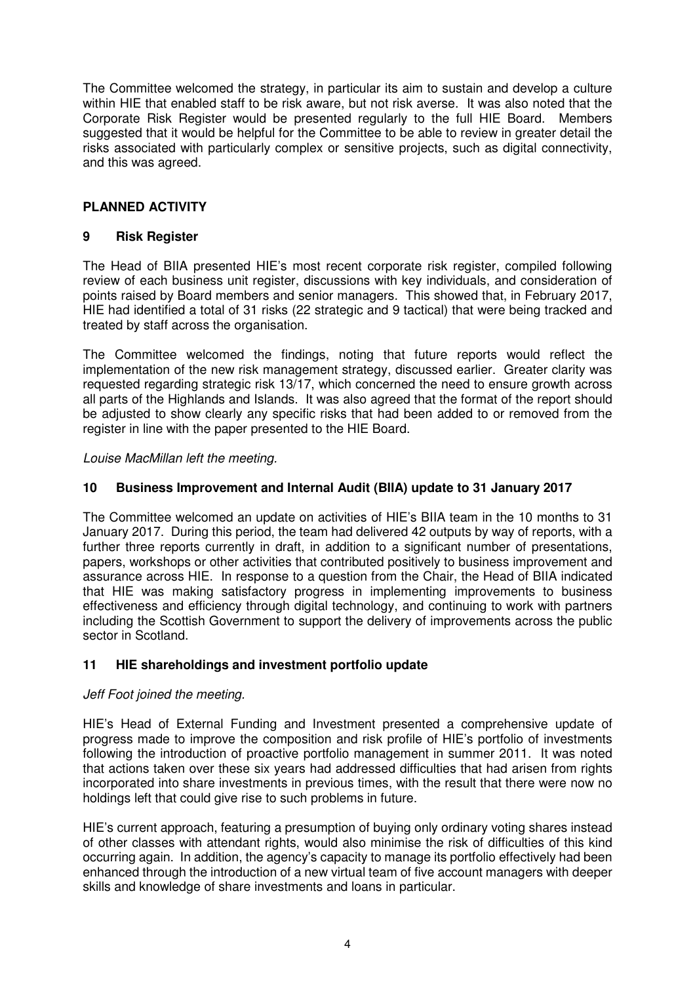The Committee welcomed the strategy, in particular its aim to sustain and develop a culture within HIE that enabled staff to be risk aware, but not risk averse. It was also noted that the Corporate Risk Register would be presented regularly to the full HIE Board. Members suggested that it would be helpful for the Committee to be able to review in greater detail the risks associated with particularly complex or sensitive projects, such as digital connectivity, and this was agreed.

# **PLANNED ACTIVITY**

## **9 Risk Register**

The Head of BIIA presented HIE's most recent corporate risk register, compiled following review of each business unit register, discussions with key individuals, and consideration of points raised by Board members and senior managers. This showed that, in February 2017, HIE had identified a total of 31 risks (22 strategic and 9 tactical) that were being tracked and treated by staff across the organisation.

The Committee welcomed the findings, noting that future reports would reflect the implementation of the new risk management strategy, discussed earlier. Greater clarity was requested regarding strategic risk 13/17, which concerned the need to ensure growth across all parts of the Highlands and Islands. It was also agreed that the format of the report should be adjusted to show clearly any specific risks that had been added to or removed from the register in line with the paper presented to the HIE Board.

Louise MacMillan left the meeting.

### **10 Business Improvement and Internal Audit (BIIA) update to 31 January 2017**

The Committee welcomed an update on activities of HIE's BIIA team in the 10 months to 31 January 2017. During this period, the team had delivered 42 outputs by way of reports, with a further three reports currently in draft, in addition to a significant number of presentations, papers, workshops or other activities that contributed positively to business improvement and assurance across HIE. In response to a question from the Chair, the Head of BIIA indicated that HIE was making satisfactory progress in implementing improvements to business effectiveness and efficiency through digital technology, and continuing to work with partners including the Scottish Government to support the delivery of improvements across the public sector in Scotland.

### **11 HIE shareholdings and investment portfolio update**

### Jeff Foot joined the meeting.

HIE's Head of External Funding and Investment presented a comprehensive update of progress made to improve the composition and risk profile of HIE's portfolio of investments following the introduction of proactive portfolio management in summer 2011. It was noted that actions taken over these six years had addressed difficulties that had arisen from rights incorporated into share investments in previous times, with the result that there were now no holdings left that could give rise to such problems in future.

HIE's current approach, featuring a presumption of buying only ordinary voting shares instead of other classes with attendant rights, would also minimise the risk of difficulties of this kind occurring again. In addition, the agency's capacity to manage its portfolio effectively had been enhanced through the introduction of a new virtual team of five account managers with deeper skills and knowledge of share investments and loans in particular.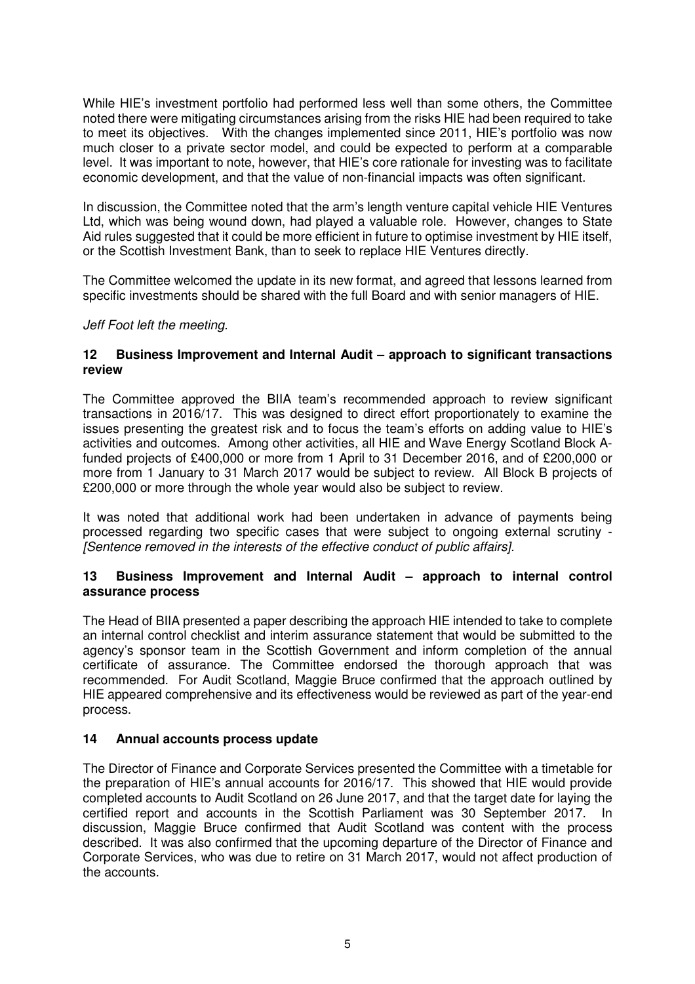While HIE's investment portfolio had performed less well than some others, the Committee noted there were mitigating circumstances arising from the risks HIE had been required to take to meet its objectives. With the changes implemented since 2011, HIE's portfolio was now much closer to a private sector model, and could be expected to perform at a comparable level. It was important to note, however, that HIE's core rationale for investing was to facilitate economic development, and that the value of non-financial impacts was often significant.

In discussion, the Committee noted that the arm's length venture capital vehicle HIE Ventures Ltd, which was being wound down, had played a valuable role. However, changes to State Aid rules suggested that it could be more efficient in future to optimise investment by HIE itself, or the Scottish Investment Bank, than to seek to replace HIE Ventures directly.

The Committee welcomed the update in its new format, and agreed that lessons learned from specific investments should be shared with the full Board and with senior managers of HIE.

### Jeff Foot left the meeting.

### **12 Business Improvement and Internal Audit – approach to significant transactions review**

The Committee approved the BIIA team's recommended approach to review significant transactions in 2016/17. This was designed to direct effort proportionately to examine the issues presenting the greatest risk and to focus the team's efforts on adding value to HIE's activities and outcomes. Among other activities, all HIE and Wave Energy Scotland Block Afunded projects of £400,000 or more from 1 April to 31 December 2016, and of £200,000 or more from 1 January to 31 March 2017 would be subject to review. All Block B projects of £200,000 or more through the whole year would also be subject to review.

It was noted that additional work had been undertaken in advance of payments being processed regarding two specific cases that were subject to ongoing external scrutiny - [Sentence removed in the interests of the effective conduct of public affairs].

### **13 Business Improvement and Internal Audit – approach to internal control assurance process**

The Head of BIIA presented a paper describing the approach HIE intended to take to complete an internal control checklist and interim assurance statement that would be submitted to the agency's sponsor team in the Scottish Government and inform completion of the annual certificate of assurance. The Committee endorsed the thorough approach that was recommended. For Audit Scotland, Maggie Bruce confirmed that the approach outlined by HIE appeared comprehensive and its effectiveness would be reviewed as part of the year-end process.

### **14 Annual accounts process update**

The Director of Finance and Corporate Services presented the Committee with a timetable for the preparation of HIE's annual accounts for 2016/17. This showed that HIE would provide completed accounts to Audit Scotland on 26 June 2017, and that the target date for laying the certified report and accounts in the Scottish Parliament was 30 September 2017. In discussion, Maggie Bruce confirmed that Audit Scotland was content with the process described. It was also confirmed that the upcoming departure of the Director of Finance and Corporate Services, who was due to retire on 31 March 2017, would not affect production of the accounts.